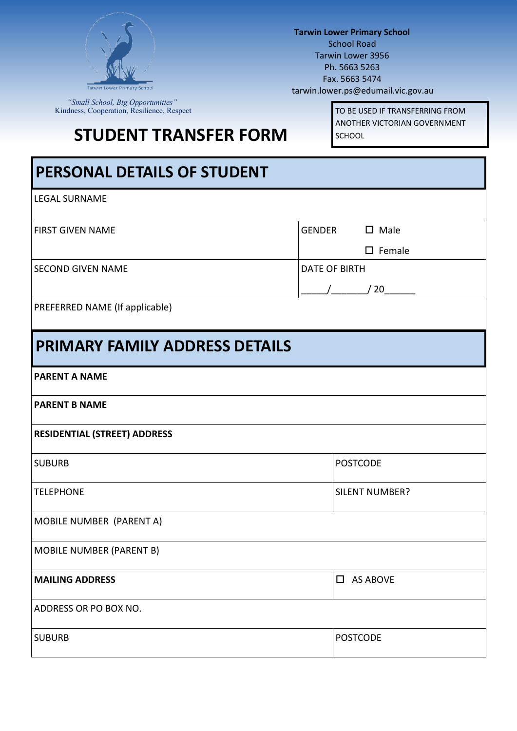

*"Small School, Big Opportunities"* Kindness, Cooperation, Resilience, Respect

**Tarwin Lower Primary School** School Road Tarwin Lower 3956 Ph. 5663 5263 Fax. 5663 5474 tarwin.lower.ps@edumail.vic.gov.au

**STUDENT TRANSFER FORM** 

TO BE USED IF TRANSFERRING FROM ANOTHER VICTORIAN GOVERNMENT SCHOOL

| <b>PERSONAL DETAILS OF STUDENT</b>    |                          |  |  |  |  |  |  |
|---------------------------------------|--------------------------|--|--|--|--|--|--|
| <b>LEGAL SURNAME</b>                  |                          |  |  |  |  |  |  |
| <b>FIRST GIVEN NAME</b>               | $\square$ Male<br>GENDER |  |  |  |  |  |  |
|                                       | $\square$ Female         |  |  |  |  |  |  |
| <b>SECOND GIVEN NAME</b>              | <b>DATE OF BIRTH</b>     |  |  |  |  |  |  |
|                                       | $/$ $/$ 20               |  |  |  |  |  |  |
| PREFERRED NAME (If applicable)        |                          |  |  |  |  |  |  |
| <b>PRIMARY FAMILY ADDRESS DETAILS</b> |                          |  |  |  |  |  |  |
| <b>PARENT A NAME</b>                  |                          |  |  |  |  |  |  |
| <b>PARENT B NAME</b>                  |                          |  |  |  |  |  |  |
| <b>RESIDENTIAL (STREET) ADDRESS</b>   |                          |  |  |  |  |  |  |
| <b>SUBURB</b>                         | <b>POSTCODE</b>          |  |  |  |  |  |  |
| <b>TELEPHONE</b>                      | <b>SILENT NUMBER?</b>    |  |  |  |  |  |  |
| MOBILE NUMBER (PARENT A)              |                          |  |  |  |  |  |  |
| <b>MOBILE NUMBER (PARENT B)</b>       |                          |  |  |  |  |  |  |
| <b>MAILING ADDRESS</b>                | <b>AS ABOVE</b><br>0     |  |  |  |  |  |  |
| ADDRESS OR PO BOX NO.                 |                          |  |  |  |  |  |  |
| <b>SUBURB</b>                         | <b>POSTCODE</b>          |  |  |  |  |  |  |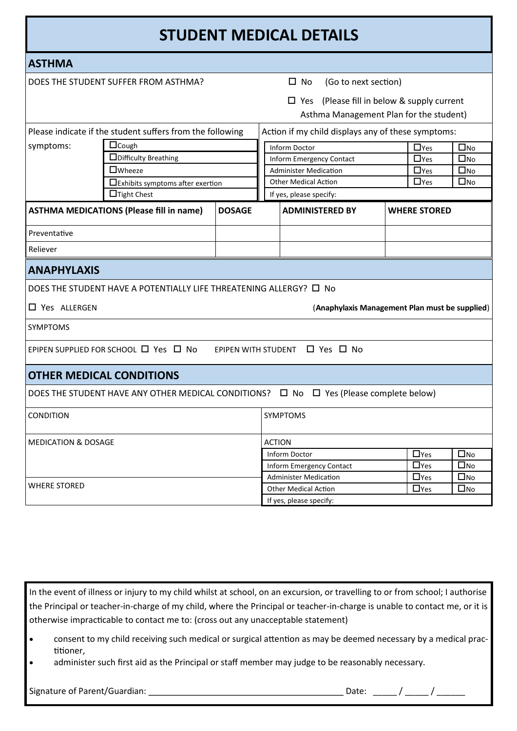| <b>STUDENT MEDICAL DETAILS</b>                                                               |                                                                                                  |                 |                        |                                                    |                     |                            |              |  |
|----------------------------------------------------------------------------------------------|--------------------------------------------------------------------------------------------------|-----------------|------------------------|----------------------------------------------------|---------------------|----------------------------|--------------|--|
| <b>ASTHMA</b>                                                                                |                                                                                                  |                 |                        |                                                    |                     |                            |              |  |
|                                                                                              | DOES THE STUDENT SUFFER FROM ASTHMA?                                                             |                 |                        | $\square$ No<br>(Go to next section)               |                     |                            |              |  |
| $\Box$ Yes (Please fill in below & supply current<br>Asthma Management Plan for the student) |                                                                                                  |                 |                        |                                                    |                     |                            |              |  |
|                                                                                              | Please indicate if the student suffers from the following                                        |                 |                        | Action if my child displays any of these symptoms: |                     |                            |              |  |
| symptoms:                                                                                    | $\Box$ Cough                                                                                     |                 |                        | Inform Doctor                                      |                     | $\square$ No<br>$\Box$ Yes |              |  |
|                                                                                              | $\square$ Difficulty Breathing                                                                   |                 |                        | <b>Inform Emergency Contact</b>                    |                     | $\Box$ Yes                 | $\square$ No |  |
|                                                                                              | $\square$ Wheeze                                                                                 |                 |                        | <b>Administer Medication</b>                       |                     | $\Box$ Yes                 | $\square$ No |  |
|                                                                                              | □Exhibits symptoms after exertion                                                                |                 |                        | <b>Other Medical Action</b>                        |                     | $\square$ No<br>$\Box$ Yes |              |  |
|                                                                                              | $\Box$ Tight Chest                                                                               |                 |                        | If yes, please specify:                            |                     |                            |              |  |
| <b>ASTHMA MEDICATIONS (Please fill in name)</b><br><b>DOSAGE</b>                             |                                                                                                  |                 | <b>ADMINISTERED BY</b> |                                                    | <b>WHERE STORED</b> |                            |              |  |
| Preventative                                                                                 |                                                                                                  |                 |                        |                                                    |                     |                            |              |  |
| Reliever                                                                                     |                                                                                                  |                 |                        |                                                    |                     |                            |              |  |
| <b>ANAPHYLAXIS</b>                                                                           |                                                                                                  |                 |                        |                                                    |                     |                            |              |  |
| DOES THE STUDENT HAVE A POTENTIALLY LIFE THREATENING ALLERGY? 口 No                           |                                                                                                  |                 |                        |                                                    |                     |                            |              |  |
| □ Yes ALLERGEN                                                                               |                                                                                                  |                 |                        | (Anaphylaxis Management Plan must be supplied)     |                     |                            |              |  |
| <b>SYMPTOMS</b>                                                                              |                                                                                                  |                 |                        |                                                    |                     |                            |              |  |
| EPIPEN SUPPLIED FOR SCHOOL □ Yes □ No<br>EPIPEN WITH STUDENT □ Yes □ No                      |                                                                                                  |                 |                        |                                                    |                     |                            |              |  |
|                                                                                              | <b>OTHER MEDICAL CONDITIONS</b>                                                                  |                 |                        |                                                    |                     |                            |              |  |
|                                                                                              | DOES THE STUDENT HAVE ANY OTHER MEDICAL CONDITIONS? $\Box$ No $\Box$ Yes (Please complete below) |                 |                        |                                                    |                     |                            |              |  |
| CONDITION                                                                                    |                                                                                                  | <b>SYMPTOMS</b> |                        |                                                    |                     |                            |              |  |
| <b>MEDICATION &amp; DOSAGE</b>                                                               |                                                                                                  | <b>ACTION</b>   |                        |                                                    |                     |                            |              |  |
|                                                                                              |                                                                                                  |                 |                        | <b>Inform Doctor</b>                               |                     | $\Box$ Yes                 | $\square$ No |  |
|                                                                                              |                                                                                                  |                 |                        | Inform Emergency Contact                           |                     | $\Box$ Yes                 | $\square$ No |  |
|                                                                                              |                                                                                                  |                 |                        | <b>Administer Medication</b>                       |                     | $\Box$ Yes                 | $\square$ No |  |
| <b>WHERE STORED</b>                                                                          |                                                                                                  |                 |                        | <b>Other Medical Action</b>                        |                     | $\Box$ Yes                 | $\square$ No |  |
|                                                                                              |                                                                                                  |                 |                        | If yes, please specify:                            |                     |                            |              |  |

In the event of illness or injury to my child whilst at school, on an excursion, or travelling to or from school; I authorise the Principal or teacher-in-charge of my child, where the Principal or teacher-in-charge is unable to contact me, or it is otherwise impracticable to contact me to: (cross out any unacceptable statement)

- consent to my child receiving such medical or surgical attention as may be deemed necessary by a medical practitioner,
- administer such first aid as the Principal or staff member may judge to be reasonably necessary.

Signature of Parent/Guardian: Date: \_\_\_\_\_ / \_\_\_\_\_ / \_\_\_\_\_\_